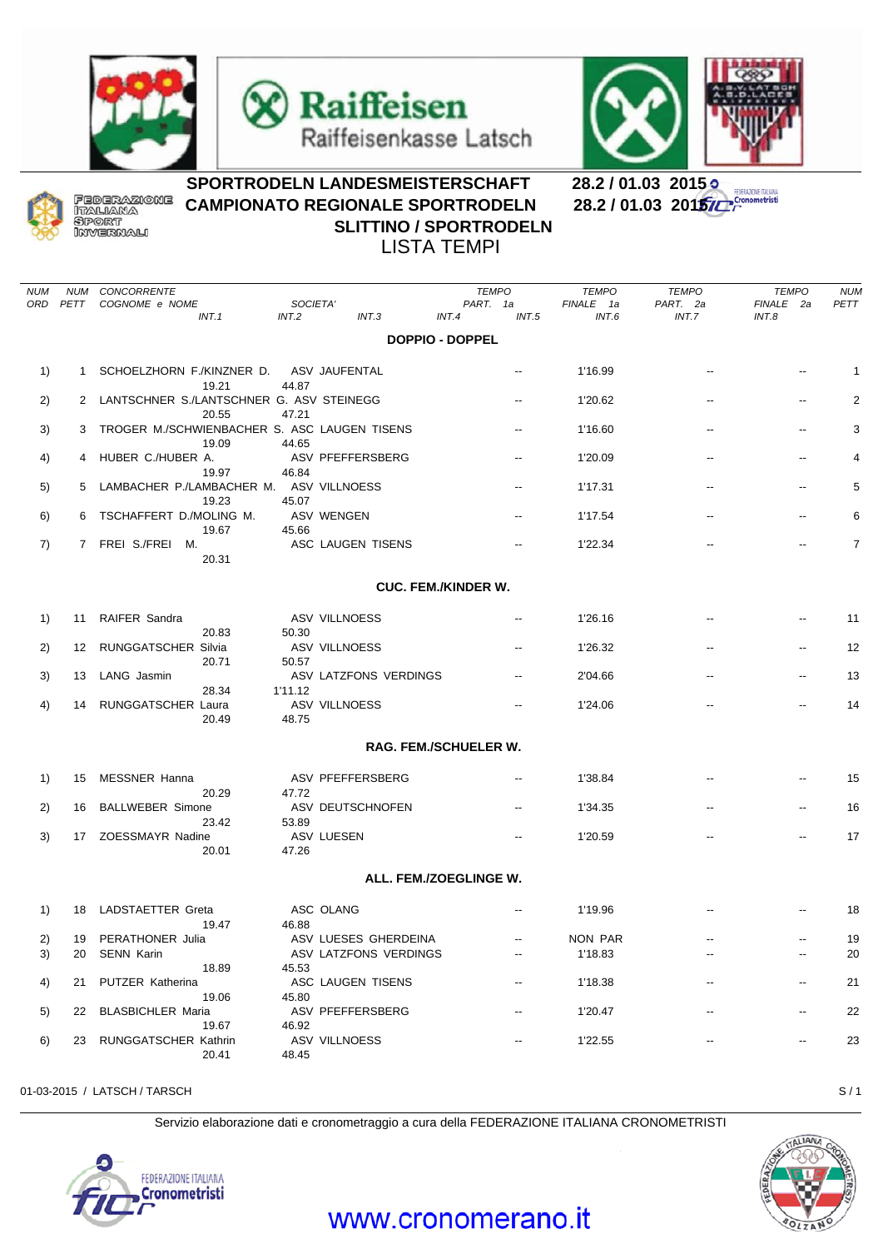







## SPORTRODELN LANDESMEISTERSCHAFT 28.2 / 01.03 2015<br>CAMPIONATO REGIONALE SPORTRODELN 28.2 / 01.03 201**5/C CAMPIONATO REGIONALE SPORTRODELN SLITTINO / SPORTRODELN** LISTA TEMPI

*NUM NUM CONCORRENTE TEMPO TEMPO TEMPO TEMPO NUM ORD PETT COGNOME e NOME SOCIETA' PART. 1a FINALE 1a PART. 2a FINALE 2a PETT INT.1 INT.2 INT.3 INT.4 INT.5 INT.6 INT.7 INT.8* **DOPPIO - DOPPEL** 1) 1 SCHOELZHORN F./KINZNER D. ASV JAUFENTAL 1 - 116.99 - - - - - - 1 19.21 44.87 2) 2 LANTSCHNER S./LANTSCHNER G. ASV STEINEGG -- 1'20.62 -- -- -- -- - 2 20.55 47.21 3) 3 TROGER M./SCHWIENBACHER S. ASC LAUGEN TISENS -- 1'16.60 -- -- -- -- -- - 3 19.09 44.65 4) 4 HUBER C./HUBER A. ASV PFEFFERSBERG -- 1'20.09 -- -- 4 19.97 46.84 5) 5 LAMBACHER P./LAMBACHER M. ASV VILLNOESS -- 1'17.31 -- - - - - - 5 19.23 45.07 6) 6 TSCHAFFERT D./MOLING M. ASV WENGEN -- 1'17.54 -- - - - - - 6 19.67 45.66 7) 7 FREI S./FREI M. ASC LAUGEN TISENS -- 1'22.34 -- -- 7 20.31 **CUC. FEM./KINDER W.** 1) 11 RAIFER Sandra ASV VILLNOESS -- 1'26.16 -- -- 11 20.83 50.30 2) 12 RUNGGATSCHER Silvia ASV VILLNOESS -- 1'26.32 -- -- 12 20.71 50.57 3) 13 LANG Jasmin ASV LATZFONS VERDINGS -- 2'04.66 -- -- 13 28.34 1'11.12 4) 14 RUNGGATSCHER Laura ASV VILLNOESS -- 1'24.06 -- -- 14 20.49 48.75 **RAG. FEM./SCHUELER W.** 1) 15 MESSNER Hanna ASV PFEFFERSBERG 1'38.84 15 20.29 47.72 2) 16 BALLWEBER Simone ASV DEUTSCHNOFEN -- 1'34.35 -- -- 16 23.42 53.89 3) 17 ZOESSMAYR Nadine ASV LUESEN -- 1'20.59 -- -- 17 20.01 47.26 **ALL. FEM./ZOEGLINGE W.** 1) 18 LADSTAETTER Greta ASC OLANG -- 1'19.96 -- -- 18 19.47 46.88 2) 19 PERATHONER Julia ASV LUESES GHERDEINA -- NON PAR -- -- -- -- 19 3) 20 SENN Karin ASV LATZFONS VERDINGS 1'18.83 20 18.89 45.53 4) 21 PUTZER Katherina ASC LAUGEN TISENS 1'18.38 21 19.06 45.80 5) 22 BLASBICHLER Maria ASV PFEFFERSBERG -- 1'20.47 -- -- 22 19.67 46.92 6) 23 RUNGGATSCHER Kathrin ASV VILLNOESS -- 1'22.55 -- -- 23 20.41 48.45

01-03-2015 / LATSCH / TARSCH S / 1

Servizio elaborazione dati e cronometraggio a cura della FEDERAZIONE ITALIANA CRONOMETRISTI





## www.cronomerano.it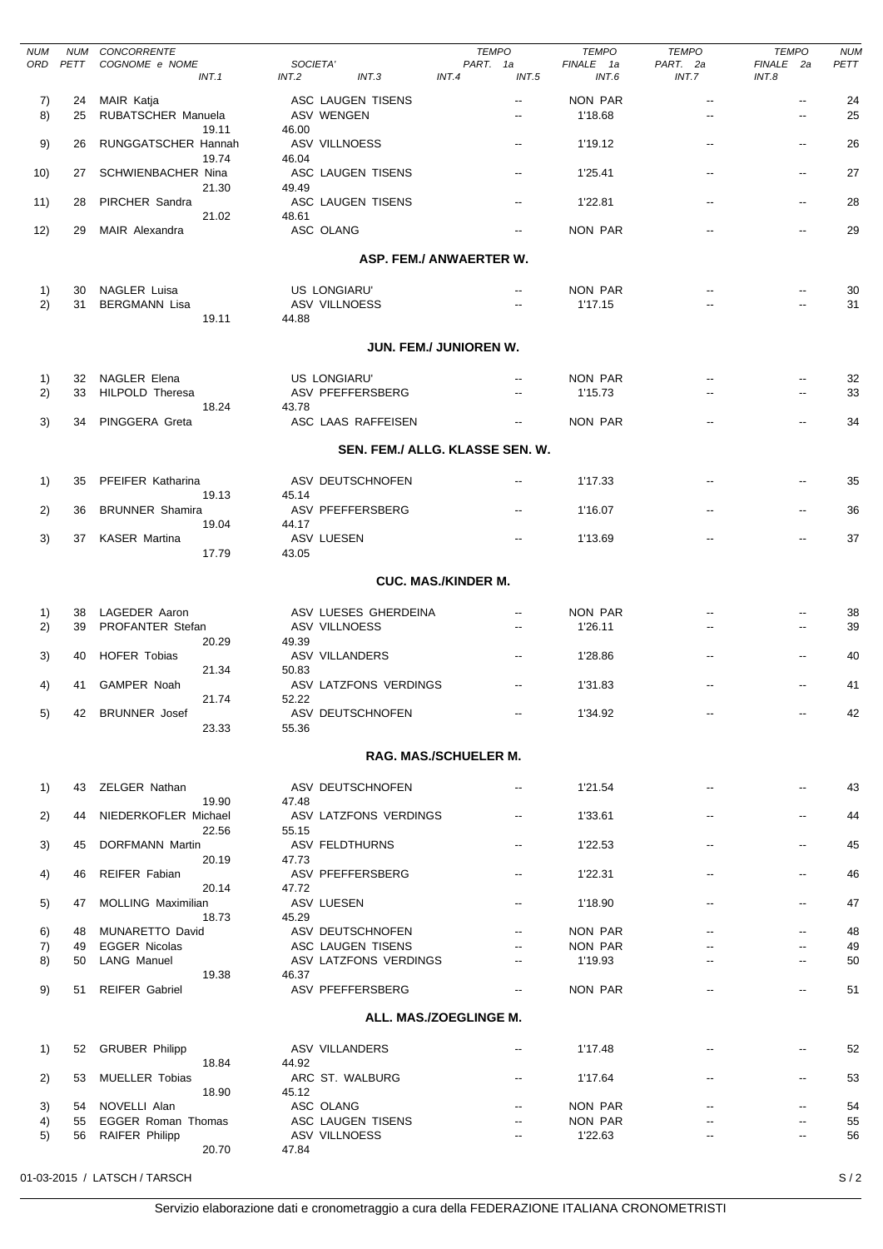| <b>NUM</b> | NUM      | CONCORRENTE                      |                                 | <b>TEMPO</b>                                         | <b>TEMPO</b>       | <b>TEMPO</b>         | <b>TEMPO</b>                                         | <b>NUM</b> |
|------------|----------|----------------------------------|---------------------------------|------------------------------------------------------|--------------------|----------------------|------------------------------------------------------|------------|
| ORD        | PETT     | COGNOME e NOME<br>INT.1          | SOCIETA'<br>INT.2<br>INT.3      | PART. 1a<br>INT.5<br>INT.4                           | FINALE 1a<br>INT.6 | PART. 2a<br>INT.7    | FINALE 2a<br>INT.8                                   | PETT       |
|            |          |                                  |                                 |                                                      |                    |                      |                                                      |            |
| 7)<br>8)   | 24<br>25 | MAIR Katja<br>RUBATSCHER Manuela | ASC LAUGEN TISENS<br>ASV WENGEN | $\overline{\phantom{a}}$<br>$\overline{\phantom{a}}$ | NON PAR<br>1'18.68 | --<br>$\overline{a}$ | $\overline{\phantom{a}}$<br>$\overline{\phantom{a}}$ | 24<br>25   |
|            |          | 19.11                            | 46.00                           |                                                      |                    |                      |                                                      |            |
| 9)         | 26       | RUNGGATSCHER Hannah              | ASV VILLNOESS                   | $\overline{\phantom{a}}$                             | 1'19.12            | $\overline{a}$       | $\overline{\phantom{a}}$                             | 26         |
|            |          | 19.74                            | 46.04                           |                                                      |                    |                      |                                                      |            |
| 10)        | 27       | SCHWIENBACHER Nina               | ASC LAUGEN TISENS               | $\overline{\phantom{a}}$                             | 1'25.41            | $\overline{a}$       | $\overline{\phantom{a}}$                             | 27         |
| 11)        | 28       | 21.30<br>PIRCHER Sandra          | 49.49<br>ASC LAUGEN TISENS      | $\overline{\phantom{a}}$                             | 1'22.81            | --                   | $\overline{\phantom{a}}$                             | 28         |
|            |          | 21.02                            | 48.61                           |                                                      |                    |                      |                                                      |            |
| 12)        | 29       | MAIR Alexandra                   | ASC OLANG                       | $\overline{\phantom{a}}$                             | <b>NON PAR</b>     | $\overline{a}$       | $\overline{\phantom{a}}$                             | 29         |
|            |          |                                  |                                 |                                                      |                    |                      |                                                      |            |
|            |          |                                  |                                 | ASP. FEM./ ANWAERTER W.                              |                    |                      |                                                      |            |
| 1)         |          | 30 NAGLER Luisa                  | <b>US LONGIARU</b>              | $\overline{\phantom{a}}$                             | NON PAR            |                      |                                                      | 30         |
| 2)         | 31       | <b>BERGMANN Lisa</b>             | ASV VILLNOESS                   | $\overline{a}$                                       | 1'17.15            |                      |                                                      | 31         |
|            |          | 19.11                            | 44.88                           |                                                      |                    |                      |                                                      |            |
|            |          |                                  |                                 |                                                      |                    |                      |                                                      |            |
|            |          |                                  |                                 | JUN. FEM./ JUNIOREN W.                               |                    |                      |                                                      |            |
| 1)         |          | 32 NAGLER Elena                  | <b>US LONGIARU'</b>             | $\overline{\phantom{a}}$                             | NON PAR            |                      | $\overline{\phantom{a}}$                             | 32         |
| 2)         | 33       | <b>HILPOLD Theresa</b>           | ASV PFEFFERSBERG                | $\overline{\phantom{a}}$                             | 1'15.73            |                      | $\overline{\phantom{a}}$                             | 33         |
|            |          | 18.24                            | 43.78                           |                                                      |                    |                      |                                                      |            |
| 3)         | 34       | PINGGERA Greta                   | ASC LAAS RAFFEISEN              | $\overline{\phantom{a}}$                             | NON PAR            |                      | $\overline{\phantom{a}}$                             | 34         |
|            |          |                                  |                                 | SEN. FEM./ ALLG. KLASSE SEN. W.                      |                    |                      |                                                      |            |
|            |          |                                  |                                 |                                                      |                    |                      |                                                      |            |
| 1)         | 35       | PFEIFER Katharina                | ASV DEUTSCHNOFEN                | $\overline{\phantom{a}}$                             | 1'17.33            |                      | $\overline{\phantom{a}}$                             | 35         |
|            |          | 19.13                            | 45.14                           |                                                      |                    |                      |                                                      |            |
| 2)         | 36       | <b>BRUNNER Shamira</b>           | ASV PFEFFERSBERG                | $\overline{\phantom{a}}$                             | 1'16.07            | --                   | $\overline{\phantom{a}}$                             | 36         |
|            |          | 19.04                            | 44.17                           |                                                      |                    |                      |                                                      |            |
| 3)         | 37       | <b>KASER Martina</b><br>17.79    | ASV LUESEN<br>43.05             | $\overline{\phantom{a}}$                             | 1'13.69            | $\overline{a}$       | $\overline{\phantom{a}}$                             | 37         |
|            |          |                                  |                                 |                                                      |                    |                      |                                                      |            |
|            |          |                                  |                                 | <b>CUC. MAS./KINDER M.</b>                           |                    |                      |                                                      |            |
|            |          |                                  |                                 |                                                      |                    |                      |                                                      |            |
| 1)         | 38       | LAGEDER Aaron                    | ASV LUESES GHERDEINA            | $\overline{\phantom{a}}$                             | NON PAR            |                      |                                                      | 38         |
| 2)         | 39       | PROFANTER Stefan<br>20.29        | ASV VILLNOESS<br>49.39          | $\overline{\phantom{a}}$                             | 1'26.11            | $\overline{a}$       | $\overline{\phantom{a}}$                             | 39         |
| 3)         | 40       | <b>HOFER Tobias</b>              | ASV VILLANDERS                  | $\overline{\phantom{a}}$                             | 1'28.86            | $\overline{a}$       | $\overline{\phantom{a}}$                             | 40         |
|            |          | 21.34                            | 50.83                           |                                                      |                    |                      |                                                      |            |
| 4)         | 41       | GAMPER Noah                      | ASV LATZFONS VERDINGS           | $\overline{\phantom{a}}$                             | 1'31.83            |                      |                                                      | 41         |
|            |          | 21.74                            | 52.22<br>ASV DEUTSCHNOFEN       |                                                      |                    |                      |                                                      |            |
| 5)         |          | 42 BRUNNER Josef<br>23.33        | 55.36                           |                                                      | 1'34.92            |                      |                                                      | 42         |
|            |          |                                  |                                 |                                                      |                    |                      |                                                      |            |
|            |          |                                  |                                 | <b>RAG. MAS./SCHUELER M.</b>                         |                    |                      |                                                      |            |
|            |          |                                  |                                 |                                                      |                    |                      |                                                      |            |
| 1)         |          | 43 ZELGER Nathan<br>19.90        | ASV DEUTSCHNOFEN<br>47.48       | ۰.                                                   | 1'21.54            |                      |                                                      | 43         |
| 2)         | 44       | NIEDERKOFLER Michael             | ASV LATZFONS VERDINGS           | $\overline{\phantom{a}}$                             | 1'33.61            |                      | $\overline{\phantom{a}}$                             | 44         |
|            |          | 22.56                            | 55.15                           |                                                      |                    |                      |                                                      |            |
| 3)         | 45       | DORFMANN Martin                  | ASV FELDTHURNS                  |                                                      | 1'22.53            |                      | $\overline{\phantom{a}}$                             | 45         |
|            |          | 20.19                            | 47.73                           |                                                      |                    |                      |                                                      |            |
| 4)         | 46       | REIFER Fabian<br>20.14           | ASV PFEFFERSBERG<br>47.72       |                                                      | 1'22.31            |                      |                                                      | 46         |
| 5)         | 47       | <b>MOLLING Maximilian</b>        | ASV LUESEN                      | --                                                   | 1'18.90            |                      | --                                                   | 47         |
|            |          | 18.73                            | 45.29                           |                                                      |                    |                      |                                                      |            |
| 6)         |          | 48 MUNARETTO David               | ASV DEUTSCHNOFEN                | $\overline{\phantom{a}}$                             | NON PAR            | $-$                  | $\overline{\phantom{a}}$                             | 48         |
| 7)         | 49       | <b>EGGER Nicolas</b>             | ASC LAUGEN TISENS               |                                                      | NON PAR            |                      | $\overline{\phantom{a}}$                             | 49         |
| 8)         | 50       | LANG Manuel<br>19.38             | ASV LATZFONS VERDINGS<br>46.37  | $\overline{\phantom{a}}$                             | 1'19.93            |                      | $\overline{\phantom{a}}$                             | 50         |
| 9)         | 51       | REIFER Gabriel                   | ASV PFEFFERSBERG                | $\overline{\phantom{a}}$                             | NON PAR            | $\overline{a}$       | $\overline{\phantom{a}}$                             | 51         |
|            |          |                                  |                                 |                                                      |                    |                      |                                                      |            |
|            |          |                                  |                                 | ALL. MAS./ZOEGLINGE M.                               |                    |                      |                                                      |            |
|            |          |                                  |                                 | $\overline{\phantom{a}}$                             | 1'17.48            |                      |                                                      |            |
| 1)         |          | 52 GRUBER Philipp<br>18.84       | ASV VILLANDERS<br>44.92         |                                                      |                    |                      |                                                      | 52         |
| 2)         | 53       | <b>MUELLER Tobias</b>            | ARC ST. WALBURG                 | $\overline{\phantom{a}}$                             | 1'17.64            |                      |                                                      | 53         |
|            |          | 18.90                            | 45.12                           |                                                      |                    |                      |                                                      |            |
| 3)         |          | 54 NOVELLI Alan                  | ASC OLANG                       |                                                      | NON PAR            |                      |                                                      | 54         |
| 4)         |          | 55 EGGER Roman Thomas            | ASC LAUGEN TISENS               | $\overline{\phantom{a}}$                             | NON PAR            |                      | $\overline{a}$                                       | 55         |
| 5)         |          | 56 RAIFER Philipp<br>20.70       | ASV VILLNOESS<br>47.84          | $\overline{\phantom{a}}$                             | 1'22.63            |                      |                                                      | 56         |
|            |          |                                  |                                 |                                                      |                    |                      |                                                      |            |
|            |          | 01-03-2015 / LATSCH / TARSCH     |                                 |                                                      |                    |                      |                                                      | S/2        |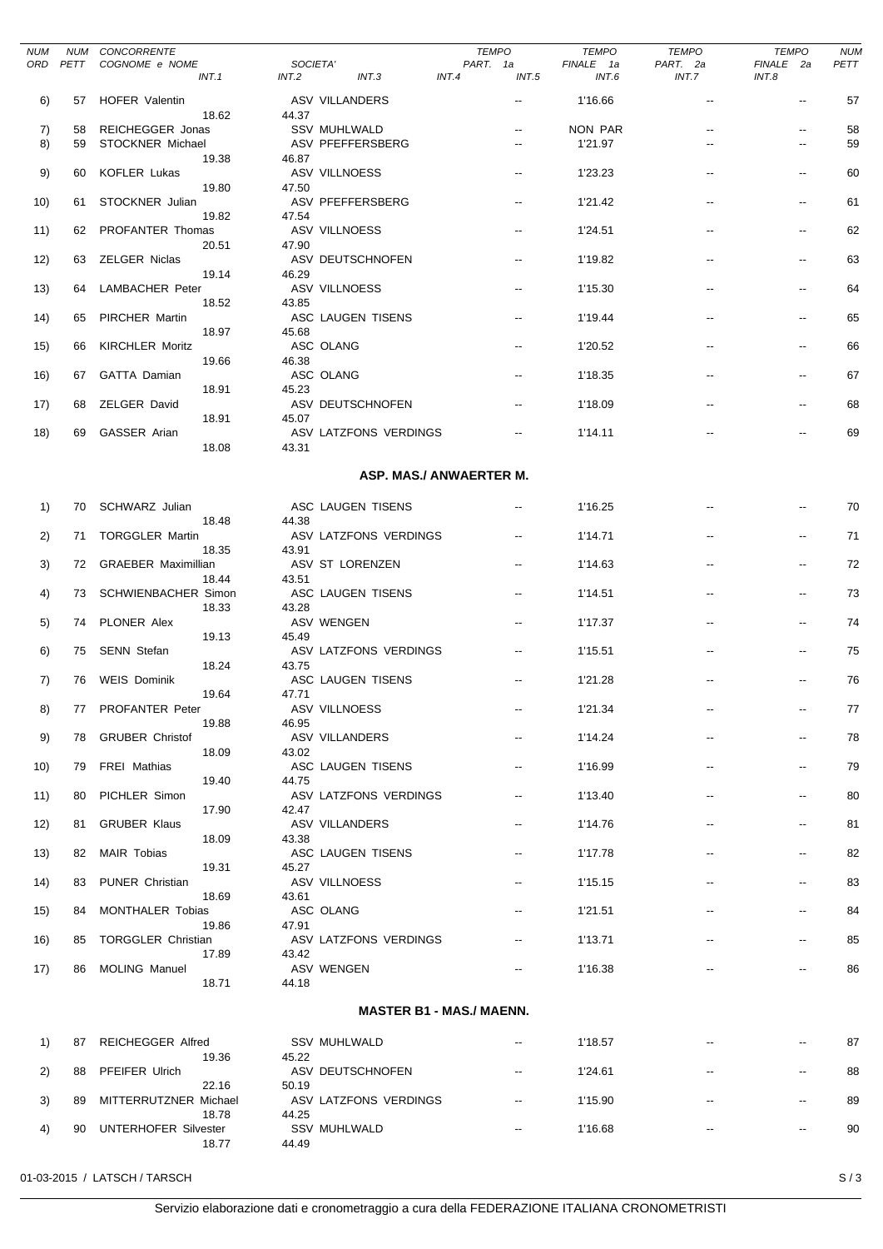| <b>NUM</b> | NUM  | CONCORRENTE                          |       |                                 | <b>TEMPO</b>            |                          | <b>TEMPO</b>       | <b>TEMPO</b>      | <b>TEMPO</b>             | <b>NUM</b> |
|------------|------|--------------------------------------|-------|---------------------------------|-------------------------|--------------------------|--------------------|-------------------|--------------------------|------------|
| ORD        | PETT | COGNOME e NOME<br>INT.1              | INT.2 | SOCIETA'<br>INT.3               | PART. 1a<br>INT.4       | INT.5                    | FINALE 1a<br>INT.6 | PART. 2a<br>INT.7 | FINALE 2a<br>INT.8       | PETT       |
| 6)         | 57   | <b>HOFER Valentin</b>                |       | ASV VILLANDERS                  |                         | $\overline{\phantom{a}}$ | 1'16.66            | ٠.                | н.                       | 57         |
| 7)         | 58   | 18.62<br>REICHEGGER Jonas            | 44.37 | <b>SSV MUHLWALD</b>             |                         | --                       | NON PAR            |                   | $\overline{\phantom{a}}$ | 58         |
| 8)         | 59   | STOCKNER Michael                     |       | ASV PFEFFERSBERG                |                         | $\overline{\phantom{a}}$ | 1'21.97            |                   | $\overline{a}$           | 59         |
| 9)         | 60   | 19.38<br><b>KOFLER Lukas</b>         | 46.87 | ASV VILLNOESS                   |                         | $\overline{\phantom{a}}$ | 1'23.23            |                   | $\overline{\phantom{a}}$ | 60         |
|            |      | 19.80                                | 47.50 |                                 |                         |                          |                    |                   |                          |            |
| 10)        | 61   | STOCKNER Julian<br>19.82             | 47.54 | ASV PFEFFERSBERG                |                         | $\overline{\phantom{a}}$ | 1'21.42            | ٠.                | $\overline{\phantom{a}}$ | 61         |
| 11)        | 62   | PROFANTER Thomas                     |       | ASV VILLNOESS                   |                         | $\overline{\phantom{a}}$ | 1'24.51            | $-$               | $\overline{\phantom{a}}$ | 62         |
| 12)        | 63   | 20.51<br><b>ZELGER Niclas</b>        | 47.90 | ASV DEUTSCHNOFEN                |                         | $\overline{\phantom{a}}$ | 1'19.82            | --                | $\overline{\phantom{a}}$ | 63         |
|            |      | 19.14                                | 46.29 |                                 |                         |                          |                    |                   |                          |            |
| 13)        | 64   | LAMBACHER Peter<br>18.52             | 43.85 | ASV VILLNOESS                   |                         | $\overline{\phantom{a}}$ | 1'15.30            |                   | $\overline{\phantom{a}}$ | 64         |
| 14)        | 65   | PIRCHER Martin                       |       | ASC LAUGEN TISENS               |                         | $\overline{\phantom{a}}$ | 1'19.44            | $-$               | $\overline{\phantom{a}}$ | 65         |
| 15)        | 66   | 18.97<br><b>KIRCHLER Moritz</b>      | 45.68 | ASC OLANG                       |                         | $\overline{\phantom{a}}$ | 1'20.52            |                   | $\overline{\phantom{a}}$ | 66         |
|            |      | 19.66                                | 46.38 |                                 |                         |                          |                    |                   |                          |            |
| 16)        | 67   | GATTA Damian<br>18.91                | 45.23 | ASC OLANG                       |                         | $\overline{\phantom{a}}$ | 1'18.35            |                   | $\overline{\phantom{a}}$ | 67         |
| 17)        | 68   | ZELGER David                         |       | ASV DEUTSCHNOFEN                |                         | $\overline{\phantom{a}}$ | 1'18.09            |                   | $\overline{\phantom{a}}$ | 68         |
| 18)        | 69   | 18.91<br>GASSER Arian                | 45.07 | ASV LATZFONS VERDINGS           |                         | $\overline{\phantom{a}}$ | 1'14.11            |                   | $\overline{\phantom{a}}$ | 69         |
|            |      | 18.08                                | 43.31 |                                 |                         |                          |                    |                   |                          |            |
|            |      |                                      |       |                                 | ASP. MAS./ ANWAERTER M. |                          |                    |                   |                          |            |
|            |      |                                      |       |                                 |                         |                          |                    |                   |                          |            |
| 1)         | 70   | SCHWARZ Julian<br>18.48              | 44.38 | ASC LAUGEN TISENS               |                         | $\overline{\phantom{a}}$ | 1'16.25            |                   |                          | 70         |
| 2)         | 71   | <b>TORGGLER Martin</b>               |       | ASV LATZFONS VERDINGS           |                         | $\overline{\phantom{a}}$ | 1'14.71            |                   | $\overline{\phantom{a}}$ | 71         |
| 3)         | 72   | 18.35<br><b>GRAEBER Maximillian</b>  | 43.91 | ASV ST LORENZEN                 |                         | $\overline{\phantom{a}}$ | 1'14.63            |                   | $\overline{\phantom{a}}$ | 72         |
|            |      | 18.44                                | 43.51 |                                 |                         |                          |                    |                   |                          |            |
| 4)         | 73   | <b>SCHWIENBACHER Simon</b><br>18.33  | 43.28 | ASC LAUGEN TISENS               |                         | $\overline{\phantom{a}}$ | 1'14.51            | ٠.                | $\overline{\phantom{a}}$ | 73         |
| 5)         | 74   | PLONER Alex<br>19.13                 | 45.49 | ASV WENGEN                      |                         | $\overline{\phantom{a}}$ | 1'17.37            | $-$               | $\overline{\phantom{a}}$ | 74         |
| 6)         | 75   | <b>SENN Stefan</b>                   |       | ASV LATZFONS VERDINGS           |                         | $\overline{\phantom{a}}$ | 1'15.51            | --                | $\overline{\phantom{a}}$ | 75         |
| 7)         | 76   | 18.24<br><b>WEIS Dominik</b>         | 43.75 | ASC LAUGEN TISENS               |                         | $\overline{\phantom{a}}$ | 1'21.28            |                   | $\overline{\phantom{a}}$ | 76         |
|            |      | 19.64                                | 47.71 |                                 |                         |                          |                    |                   |                          |            |
| 8)         | 77   | <b>PROFANTER Peter</b><br>19.88      | 46.95 | <b>ASV VILLNOESS</b>            |                         | --                       | 1'21.34            |                   | --                       | 77         |
| 9)         | 78   | <b>GRUBER Christof</b>               |       | ASV VILLANDERS                  |                         | $\overline{\phantom{a}}$ | 1'14.24            |                   | $\overline{\phantom{a}}$ | 78         |
| 10)        | 79   | 18.09<br><b>FREI Mathias</b>         | 43.02 | ASC LAUGEN TISENS               |                         | $\overline{\phantom{a}}$ | 1'16.99            |                   | $\overline{\phantom{a}}$ | 79         |
|            |      | 19.40                                | 44.75 |                                 |                         |                          |                    |                   |                          |            |
| 11)        | 80   | PICHLER Simon<br>17.90               | 42.47 | ASV LATZFONS VERDINGS           |                         | $\overline{\phantom{a}}$ | 1'13.40            |                   | $\overline{\phantom{a}}$ | 80         |
| 12)        | 81   | <b>GRUBER Klaus</b>                  |       | ASV VILLANDERS                  |                         | $\overline{\phantom{a}}$ | 1'14.76            | $-$               | $\overline{\phantom{a}}$ | 81         |
| 13)        | 82   | 18.09<br>MAIR Tobias                 | 43.38 | ASC LAUGEN TISENS               |                         | $\overline{\phantom{a}}$ | 1'17.78            |                   | $\overline{\phantom{a}}$ | 82         |
|            |      | 19.31                                | 45.27 |                                 |                         |                          |                    |                   |                          |            |
| 14)        | 83   | PUNER Christian<br>18.69             | 43.61 | ASV VILLNOESS                   |                         |                          | 1'15.15            |                   | $\overline{\phantom{a}}$ | 83         |
| 15)        | 84   | <b>MONTHALER Tobias</b>              |       | ASC OLANG                       |                         | --                       | 1'21.51            |                   | $\overline{\phantom{a}}$ | 84         |
| 16)        | 85   | 19.86<br><b>TORGGLER Christian</b>   | 47.91 | ASV LATZFONS VERDINGS           |                         | --                       | 1'13.71            |                   | --                       | 85         |
| 17)        | 86   | 17.89<br>MOLING Manuel               | 43.42 | ASV WENGEN                      |                         | $\overline{\phantom{a}}$ | 1'16.38            |                   |                          | 86         |
|            |      | 18.71                                | 44.18 |                                 |                         |                          |                    |                   |                          |            |
|            |      |                                      |       | <b>MASTER B1 - MAS./ MAENN.</b> |                         |                          |                    |                   |                          |            |
|            |      |                                      |       |                                 |                         |                          |                    |                   |                          |            |
| 1)         | 87   | <b>REICHEGGER Alfred</b><br>19.36    | 45.22 | <b>SSV MUHLWALD</b>             |                         | $\overline{\phantom{a}}$ | 1'18.57            |                   |                          | 87         |
| 2)         | 88   | PFEIFER Ulrich                       |       | ASV DEUTSCHNOFEN                |                         | $\overline{\phantom{a}}$ | 1'24.61            |                   | $\overline{\phantom{a}}$ | 88         |
| 3)         | 89   | 22.16<br>MITTERRUTZNER Michael       | 50.19 | ASV LATZFONS VERDINGS           |                         | $\overline{\phantom{a}}$ | 1'15.90            |                   | $\overline{\phantom{a}}$ | 89         |
|            |      | 18.78                                | 44.25 | <b>SSV MUHLWALD</b>             |                         | $\overline{\phantom{a}}$ |                    |                   | $\overline{\phantom{a}}$ |            |
| 4)         | 90   | <b>UNTERHOFER Silvester</b><br>18.77 | 44.49 |                                 |                         |                          | 1'16.68            |                   |                          | 90         |
|            |      |                                      |       |                                 |                         |                          |                    |                   |                          |            |

01-03-2015 / LATSCH / TARSCH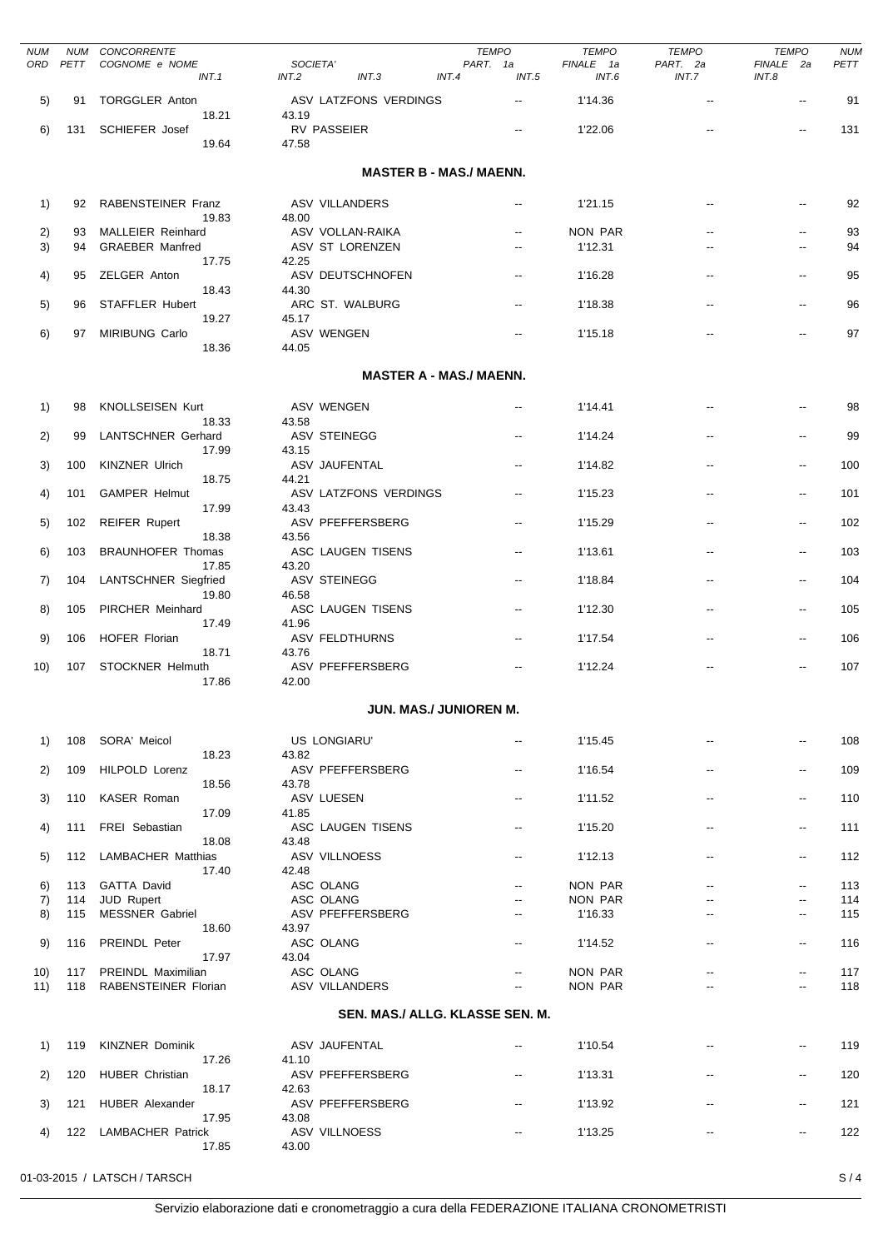| <b>NUM</b><br>ORD | NUM<br>PETT | CONCORRENTE<br>COGNOME e NOME<br>INT.1  | SOCIETA'<br>INT.3<br>INT.2     | <b>TEMPO</b><br>PART. 1a<br>INT.4<br>INT.5 | <b>TEMPO</b><br>FINALE 1a<br>INT.6 | <b>TEMPO</b><br>PART. 2a<br>INT.7 | <b>TEMPO</b><br>FINALE 2a<br>INT.8 | <b>NUM</b><br>PETT |
|-------------------|-------------|-----------------------------------------|--------------------------------|--------------------------------------------|------------------------------------|-----------------------------------|------------------------------------|--------------------|
| 5)                | 91          | <b>TORGGLER Anton</b>                   | ASV LATZFONS VERDINGS          | --                                         | 1'14.36                            | $\overline{a}$                    | --                                 | 91                 |
| 6)                | 131         | 18.21<br><b>SCHIEFER Josef</b><br>19.64 | 43.19<br>RV PASSEIER<br>47.58  | $\overline{\phantom{a}}$                   | 1'22.06                            |                                   |                                    | 131                |
|                   |             |                                         |                                | <b>MASTER B - MAS./ MAENN.</b>             |                                    |                                   |                                    |                    |
| 1)                | 92          | RABENSTEINER Franz<br>19.83             | <b>ASV VILLANDERS</b><br>48.00 | $\overline{\phantom{a}}$                   | 1'21.15                            |                                   |                                    | 92                 |
| 2)                | 93          | <b>MALLEIER Reinhard</b>                | ASV VOLLAN-RAIKA               | $\overline{\phantom{a}}$                   | NON PAR                            |                                   | --                                 | 93                 |
| 3)                | 94          | <b>GRAEBER Manfred</b><br>17.75         | ASV ST LORENZEN<br>42.25       | $\overline{\phantom{a}}$                   | 1'12.31                            |                                   | --                                 | 94                 |
| 4)                | 95          | ZELGER Anton<br>18.43                   | ASV DEUTSCHNOFEN<br>44.30      | $\overline{\phantom{a}}$                   | 1'16.28                            |                                   | --                                 | 95                 |
| 5)                | 96          | STAFFLER Hubert                         | ARC ST. WALBURG                | $\overline{\phantom{a}}$                   | 1'18.38                            |                                   | --                                 | 96                 |
| 6)                | 97          | 19.27<br><b>MIRIBUNG Carlo</b>          | 45.17<br><b>ASV WENGEN</b>     | $\overline{\phantom{a}}$                   | 1'15.18                            |                                   |                                    | 97                 |
|                   |             | 18.36                                   | 44.05                          | <b>MASTER A - MAS./ MAENN.</b>             |                                    |                                   |                                    |                    |
|                   |             |                                         |                                |                                            |                                    |                                   |                                    |                    |
| 1)                | 98          | <b>KNOLLSEISEN Kurt</b><br>18.33        | ASV WENGEN<br>43.58            | $- -$                                      | 1'14.41                            |                                   |                                    | 98                 |
| 2)                | 99          | <b>LANTSCHNER Gerhard</b><br>17.99      | ASV STEINEGG<br>43.15          | $- -$                                      | 1'14.24                            |                                   | --                                 | 99                 |
| 3)                | 100         | <b>KINZNER Ulrich</b>                   | ASV JAUFENTAL                  | $\overline{\phantom{a}}$                   | 1'14.82                            |                                   | --                                 | 100                |
| 4)                | 101         | 18.75<br><b>GAMPER Helmut</b>           | 44.21<br>ASV LATZFONS VERDINGS | $\overline{\phantom{a}}$                   | 1'15.23                            |                                   | --                                 | 101                |
| 5)                | 102         | 17.99<br><b>REIFER Rupert</b>           | 43.43<br>ASV PFEFFERSBERG      | $\overline{\phantom{a}}$                   | 1'15.29                            |                                   | $\overline{\phantom{a}}$           | 102                |
| 6)                | 103         | 18.38<br><b>BRAUNHOFER Thomas</b>       | 43.56<br>ASC LAUGEN TISENS     | $\overline{\phantom{a}}$                   | 1'13.61                            |                                   | --                                 | 103                |
| 7)                | 104         | 17.85<br><b>LANTSCHNER Siegfried</b>    | 43.20<br><b>ASV STEINEGG</b>   | $\overline{\phantom{a}}$                   | 1'18.84                            |                                   | --                                 | 104                |
| 8)                | 105         | 19.80<br>PIRCHER Meinhard               | 46.58<br>ASC LAUGEN TISENS     | $\overline{\phantom{a}}$                   | 1'12.30                            |                                   | $\overline{\phantom{a}}$           | 105                |
| 9)                | 106         | 17.49<br><b>HOFER Florian</b>           | 41.96<br><b>ASV FELDTHURNS</b> | $\overline{\phantom{a}}$                   | 1'17.54                            |                                   |                                    | 106                |
| 10)               | 107         | 18.71<br>STOCKNER Helmuth               | 43.76<br>ASV PFEFFERSBERG      | $\overline{a}$                             | 1'12.24                            |                                   |                                    | 107                |
|                   |             | 17.86                                   | 42.00                          | <b>JUN. MAS./ JUNIOREN M.</b>              |                                    |                                   |                                    |                    |
|                   |             |                                         |                                |                                            |                                    |                                   |                                    |                    |
| 1)                | 108         | SORA' Meicol<br>18.23                   | US LONGIARU'<br>43.82          | $\overline{\phantom{a}}$                   | 1'15.45                            |                                   |                                    | 108                |
| 2)                | 109         | HILPOLD Lorenz<br>18.56                 | ASV PFEFFERSBERG<br>43.78      | $\overline{\phantom{a}}$                   | 1'16.54                            | --                                | $\overline{\phantom{a}}$           | 109                |
| 3)                | 110         | KASER Roman                             | ASV LUESEN                     | $\overline{\phantom{a}}$                   | 1'11.52                            | $\overline{a}$                    | $\overline{\phantom{a}}$           | 110                |
| 4)                | 111         | 17.09<br>FREI Sebastian                 | 41.85<br>ASC LAUGEN TISENS     | $\overline{\phantom{a}}$                   | 1'15.20                            |                                   | $\overline{\phantom{a}}$           | 111                |
| 5)                | 112         | 18.08<br><b>LAMBACHER Matthias</b>      | 43.48<br>ASV VILLNOESS         | $\overline{\phantom{a}}$                   | 1'12.13                            | --                                | $\overline{\phantom{a}}$           | 112                |
| 6)                | 113         | 17.40<br><b>GATTA David</b>             | 42.48<br>ASC OLANG             | $\overline{\phantom{a}}$                   | <b>NON PAR</b>                     | $\overline{\phantom{a}}$          | --                                 | 113                |
| 7)                | 114         | JUD Rupert                              | ASC OLANG                      |                                            | NON PAR                            |                                   | $\overline{\phantom{a}}$           | 114                |
| 8)                | 115         | <b>MESSNER Gabriel</b><br>18.60         | ASV PFEFFERSBERG<br>43.97      | $\overline{\phantom{a}}$                   | 1'16.33                            |                                   | --                                 | 115                |
| 9)                | 116         | PREINDL Peter<br>17.97                  | ASC OLANG<br>43.04             | $- -$                                      | 1'14.52                            | --                                | $\overline{\phantom{a}}$           | 116                |
| 10)               | 117         | PREINDL Maximilian                      | ASC OLANG                      |                                            | NON PAR                            | $\overline{\phantom{a}}$          | $\overline{\phantom{a}}$           | 117                |
| 11)               | 118         | RABENSTEINER Florian                    | <b>ASV VILLANDERS</b>          |                                            | NON PAR                            |                                   |                                    | 118                |
|                   |             |                                         |                                | SEN. MAS./ ALLG. KLASSE SEN. M.            |                                    |                                   |                                    |                    |
| 1)                | 119         | <b>KINZNER Dominik</b><br>17.26         | ASV JAUFENTAL<br>41.10         | $\overline{\phantom{a}}$                   | 1'10.54                            |                                   | --                                 | 119                |
| 2)                | 120         | <b>HUBER Christian</b><br>18.17         | ASV PFEFFERSBERG<br>42.63      | $\overline{\phantom{a}}$                   | 1'13.31                            |                                   | $\overline{\phantom{a}}$           | 120                |
| 3)                | 121         | <b>HUBER Alexander</b><br>17.95         | ASV PFEFFERSBERG<br>43.08      | $-$                                        | 1'13.92                            |                                   | $\overline{\phantom{a}}$           | 121                |
| 4)                | 122         | <b>LAMBACHER Patrick</b><br>17.85       | ASV VILLNOESS<br>43.00         | --                                         | 1'13.25                            |                                   | $\overline{\phantom{a}}$           | 122                |
|                   |             |                                         |                                |                                            |                                    |                                   |                                    |                    |

01-03-2015 / LATSCH / TARSCH